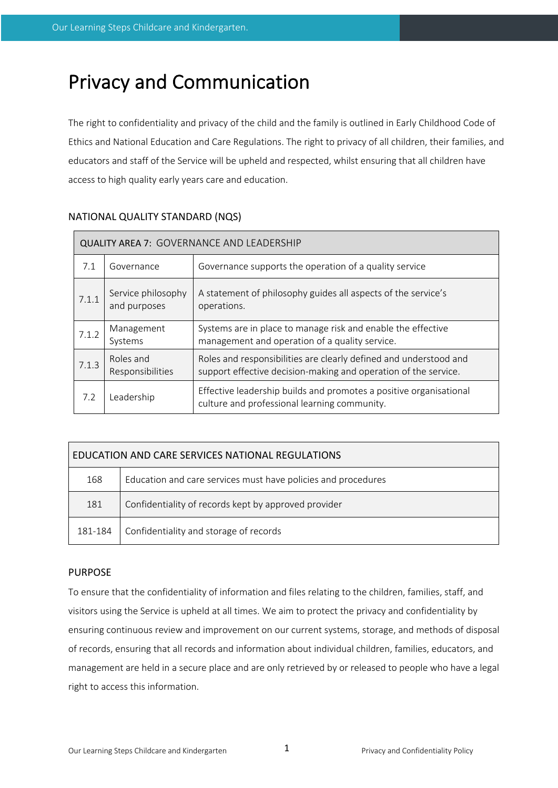# Privacy and Communication

The right to confidentiality and privacy of the child and the family is outlined in Early Childhood Code of Ethics and National Education and Care Regulations. The right to privacy of all children, their families, and educators and staff of the Service will be upheld and respected, whilst ensuring that all children have access to high quality early years care and education.

| <b>QUALITY AREA 7: GOVERNANCE AND LEADERSHIP</b> |                                    |                                                                                                                                      |  |  |  |
|--------------------------------------------------|------------------------------------|--------------------------------------------------------------------------------------------------------------------------------------|--|--|--|
| 7.1                                              | Governance                         | Governance supports the operation of a quality service                                                                               |  |  |  |
| 7.1.1                                            | Service philosophy<br>and purposes | A statement of philosophy guides all aspects of the service's<br>operations.                                                         |  |  |  |
| 7.1.2                                            | Management<br>Systems              | Systems are in place to manage risk and enable the effective<br>management and operation of a quality service.                       |  |  |  |
| 7.1.3                                            | Roles and<br>Responsibilities      | Roles and responsibilities are clearly defined and understood and<br>support effective decision-making and operation of the service. |  |  |  |
| 7.2                                              | Leadership                         | Effective leadership builds and promotes a positive organisational<br>culture and professional learning community.                   |  |  |  |

## NATIONAL QUALITY STANDARD (NQS)

| EDUCATION AND CARE SERVICES NATIONAL REGULATIONS |                                                               |  |  |  |
|--------------------------------------------------|---------------------------------------------------------------|--|--|--|
| 168                                              | Education and care services must have policies and procedures |  |  |  |
| 181                                              | Confidentiality of records kept by approved provider          |  |  |  |
| 181-184                                          | Confidentiality and storage of records                        |  |  |  |

## PURPOSE

To ensure that the confidentiality of information and files relating to the children, families, staff, and visitors using the Service is upheld at all times. We aim to protect the privacy and confidentiality by ensuring continuous review and improvement on our current systems, storage, and methods of disposal of records, ensuring that all records and information about individual children, families, educators, and management are held in a secure place and are only retrieved by or released to people who have a legal right to access this information.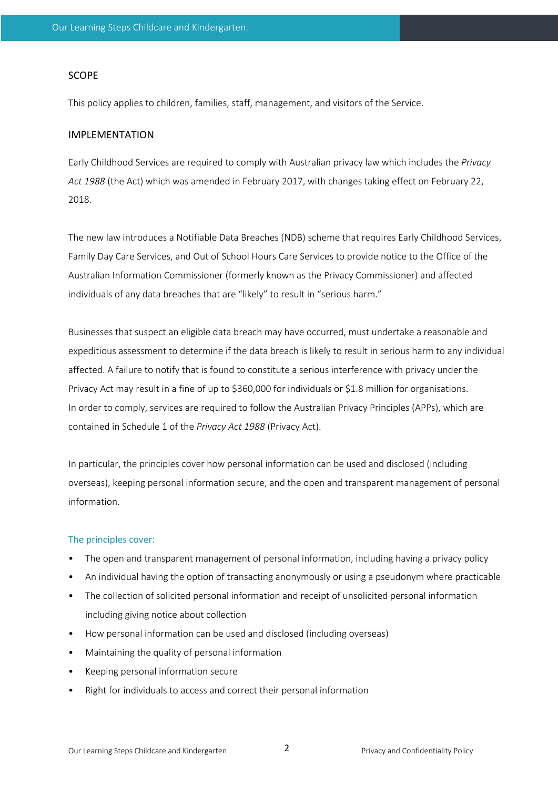#### SCOPE

This policy applies to children, families, staff, management, and visitors of the Service.

#### IMPLEMENTATION

Early Childhood Services are required to comply with Australian privacy law which includes the *Privacy Act 1988* (the Act) which was amended in February 2017, with changes taking effect on February 22, 2018.

The new law introduces a Notifiable Data Breaches (NDB) scheme that requires Early Childhood Services, Family Day Care Services, and Out of School Hours Care Services to provide notice to the Office of the Australian Information Commissioner (formerly known as the Privacy Commissioner) and affected individuals of any data breaches that are "likely" to result in "serious harm."

Businesses that suspect an eligible data breach may have occurred, must undertake a reasonable and expeditious assessment to determine if the data breach is likely to result in serious harm to any individual affected. A failure to notify that is found to constitute a serious interference with privacy under the Privacy Act may result in a fine of up to \$360,000 for individuals or \$1.8 million for organisations. In order to comply, services are required to follow the Australian Privacy Principles (APPs), which are contained in Schedule 1 of the *Privacy Act 1988* (Privacy Act).

In particular, the principles cover how personal information can be used and disclosed (including overseas), keeping personal information secure, and the open and transparent management of personal information.

#### The principles cover:

- The open and transparent management of personal information, including having a privacy policy
- An individual having the option of transacting anonymously or using a pseudonym where practicable
- The collection of solicited personal information and receipt of unsolicited personal information including giving notice about collection
- How personal information can be used and disclosed (including overseas)
- Maintaining the quality of personal information
- Keeping personal information secure
- Right for individuals to access and correct their personal information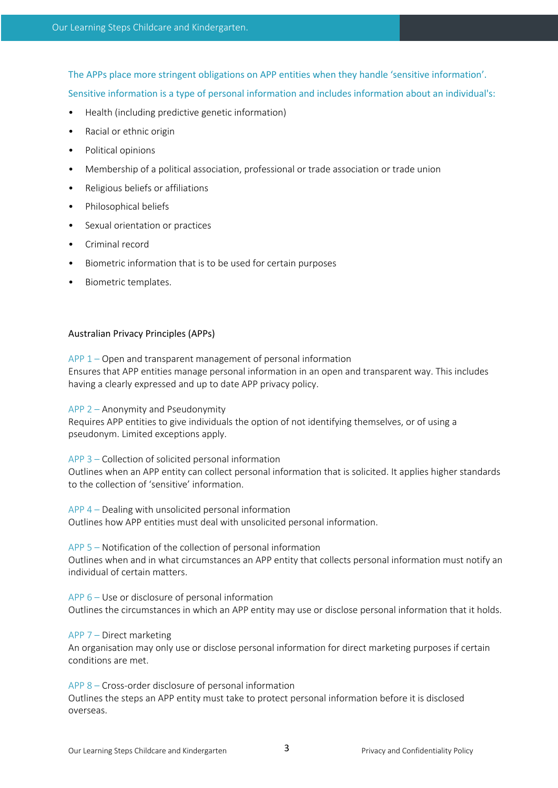The APPs place more stringent obligations on APP entities when they handle 'sensitive information'.

Sensitive information is a type of personal information and includes information about an individual's:

- Health (including predictive genetic information)
- Racial or ethnic origin
- Political opinions
- Membership of a political association, professional or trade association or trade union
- Religious beliefs or affiliations
- Philosophical beliefs
- Sexual orientation or practices
- Criminal record
- Biometric information that is to be used for certain purposes
- Biometric templates.

## Australian Privacy Principles (APPs)

APP 1 – Open and transparent management of personal information Ensures that APP entities manage personal information in an open and transparent way. This includes having a clearly expressed and up to date APP privacy policy.

APP 2 – Anonymity and Pseudonymity Requires APP entities to give individuals the option of not identifying themselves, or of using a pseudonym. Limited exceptions apply.

APP 3 – Collection of solicited personal information Outlines when an APP entity can collect personal information that is solicited. It applies higher standards to the collection of 'sensitive' information.

APP 4 – Dealing with unsolicited personal information Outlines how APP entities must deal with unsolicited personal information.

APP 5 – Notification of the collection of personal information Outlines when and in what circumstances an APP entity that collects personal information must notify an individual of certain matters.

APP 6 – Use or disclosure of personal information Outlines the circumstances in which an APP entity may use or disclose personal information that it holds.

#### APP 7 – Direct marketing

An organisation may only use or disclose personal information for direct marketing purposes if certain conditions are met.

APP 8 – Cross-order disclosure of personal information Outlines the steps an APP entity must take to protect personal information before it is disclosed overseas.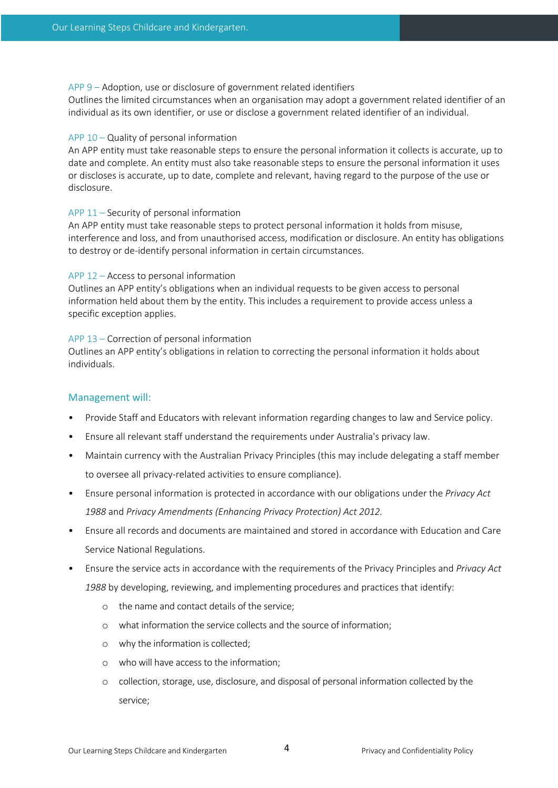APP 9 – Adoption, use or disclosure of government related identifiers

Outlines the limited circumstances when an organisation may adopt a government related identifier of an individual as its own identifier, or use or disclose a government related identifier of an individual.

#### APP 10 – Quality of personal information

An APP entity must take reasonable steps to ensure the personal information it collects is accurate, up to date and complete. An entity must also take reasonable steps to ensure the personal information it uses or discloses is accurate, up to date, complete and relevant, having regard to the purpose of the use or disclosure.

#### APP 11 – Security of personal information

An APP entity must take reasonable steps to protect personal information it holds from misuse, interference and loss, and from unauthorised access, modification or disclosure. An entity has obligations to destroy or de-identify personal information in certain circumstances.

#### APP 12 – Access to personal information

Outlines an APP entity's obligations when an individual requests to be given access to personal information held about them by the entity. This includes a requirement to provide access unless a specific exception applies.

#### APP 13 – Correction of personal information

Outlines an APP entity's obligations in relation to correcting the personal information it holds about individuals.

#### Management will:

- Provide Staff and Educators with relevant information regarding changes to law and Service policy.
- Ensure all relevant staff understand the requirements under Australia's privacy law.
- Maintain currency with the Australian Privacy Principles (this may include delegating a staff member to oversee all privacy-related activities to ensure compliance).
- Ensure personal information is protected in accordance with our obligations under the *Privacy Act 1988* and *Privacy Amendments (Enhancing Privacy Protection) Act 2012.*
- Ensure all records and documents are maintained and stored in accordance with Education and Care Service National Regulations.
- Ensure the service acts in accordance with the requirements of the Privacy Principles and *Privacy Act 1988* by developing, reviewing, and implementing procedures and practices that identify:
	- o the name and contact details of the service;
	- o what information the service collects and the source of information;
	- o why the information is collected;
	- o who will have access to the information;
	- o collection, storage, use, disclosure, and disposal of personal information collected by the service;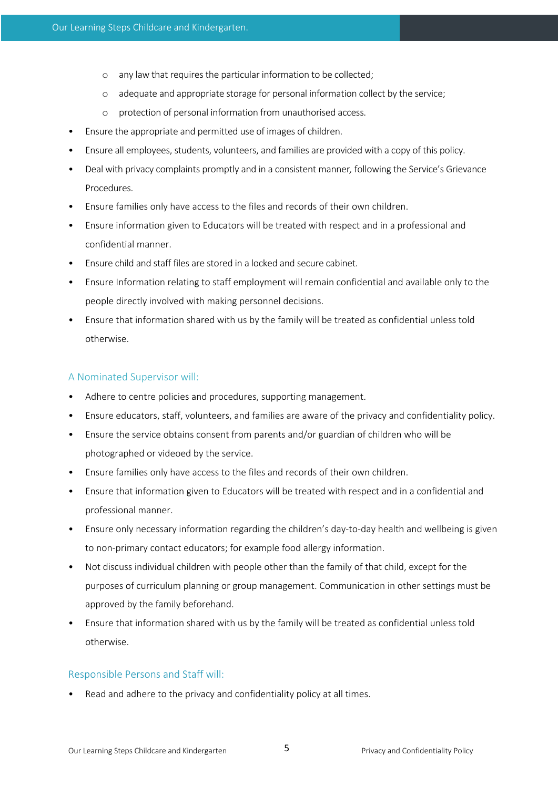- o any law that requires the particular information to be collected;
- o adequate and appropriate storage for personal information collect by the service;
- o protection of personal information from unauthorised access.
- Ensure the appropriate and permitted use of images of children.
- Ensure all employees, students, volunteers, and families are provided with a copy of this policy.
- Deal with privacy complaints promptly and in a consistent manner*,* following the Service's Grievance Procedures.
- Ensure families only have access to the files and records of their own children.
- Ensure information given to Educators will be treated with respect and in a professional and confidential manner.
- Ensure child and staff files are stored in a locked and secure cabinet.
- Ensure Information relating to staff employment will remain confidential and available only to the people directly involved with making personnel decisions.
- Ensure that information shared with us by the family will be treated as confidential unless told otherwise.

### A Nominated Supervisor will:

- Adhere to centre policies and procedures, supporting management.
- Ensure educators, staff, volunteers, and families are aware of the privacy and confidentiality policy.
- Ensure the service obtains consent from parents and/or guardian of children who will be photographed or videoed by the service.
- Ensure families only have access to the files and records of their own children.
- Ensure that information given to Educators will be treated with respect and in a confidential and professional manner.
- Ensure only necessary information regarding the children's day-to-day health and wellbeing is given to non-primary contact educators; for example food allergy information.
- Not discuss individual children with people other than the family of that child, except for the purposes of curriculum planning or group management. Communication in other settings must be approved by the family beforehand.
- Ensure that information shared with us by the family will be treated as confidential unless told otherwise.

## Responsible Persons and Staff will:

Read and adhere to the privacy and confidentiality policy at all times.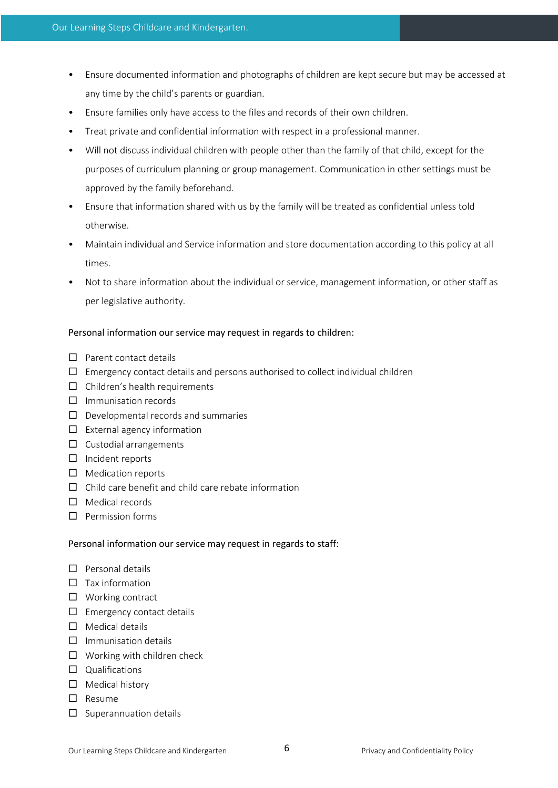- Ensure documented information and photographs of children are kept secure but may be accessed at any time by the child's parents or guardian.
- Ensure families only have access to the files and records of their own children.
- Treat private and confidential information with respect in a professional manner.
- Will not discuss individual children with people other than the family of that child, except for the purposes of curriculum planning or group management. Communication in other settings must be approved by the family beforehand.
- Ensure that information shared with us by the family will be treated as confidential unless told otherwise.
- Maintain individual and Service information and store documentation according to this policy at all times.
- Not to share information about the individual or service, management information, or other staff as per legislative authority.

## Personal information our service may request in regards to children:

- $\Box$  Parent contact details
- $\Box$  Emergency contact details and persons authorised to collect individual children
- $\Box$  Children's health requirements
- $\square$  Immunisation records
- $\Box$  Developmental records and summaries
- $\square$  External agency information
- $\Box$  Custodial arrangements
- $\Box$  Incident reports
- $\square$  Medication reports
- $\square$  Child care benefit and child care rebate information
- $\Box$  Medical records
- $\square$  Permission forms

## Personal information our service may request in regards to staff:

- $\Box$  Personal details
- $\square$  Tax information
- $\Box$  Working contract
- $\square$  Emergency contact details
- $\Box$  Medical details
- $\square$  Immunisation details
- $\Box$  Working with children check
- $\square$  Qualifications
- $\Box$  Medical history
- $\square$  Resume
- $\square$  Superannuation details